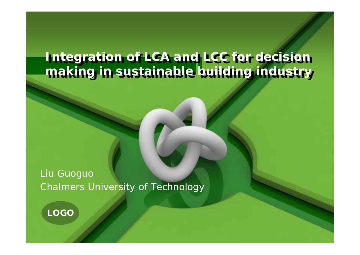#### **Integration of LCA and LCC for decision making in sustainable building industry Integration of LCA and LCC for decision making in sustainable building industry**

Liu Guoguo Chalmers University of Technology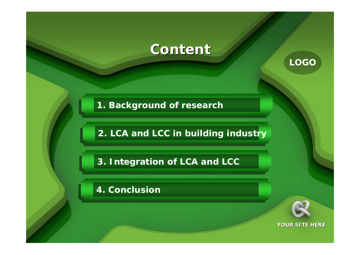### **Content Content**

**1. Background of research**

**2. LCA and LCC in building industry**

**3. Integration of LCA and LCC**

**4. Conclusion**



**LOGO**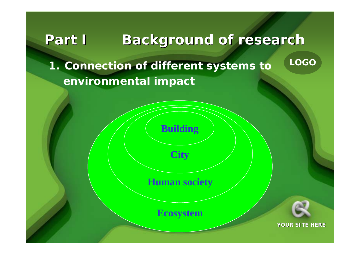# **Part I Background of research Part I Background of research**

**1. Connection of different systems to environmental impact**

**Building**

**City**

**Human society**

**Ecosystem**

**YOUR SITE HERE**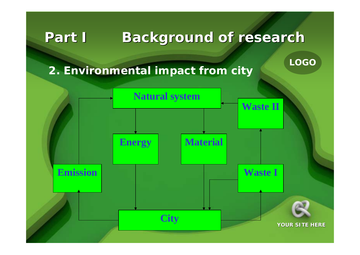# **Part I Background of research Part I Background of research**

**LOGO**

### **2. Environmental impact from city**

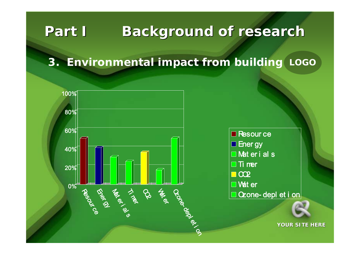# **Part I Background of research Part I Background of research**

#### **LOGO 3. Environmental impact from building**



Resour ce □ Ener gy  $\Box$  Mat er i al s  $\Box$  Ti ner  $\Box$  CO2 Wat er □ Czone- depl et i on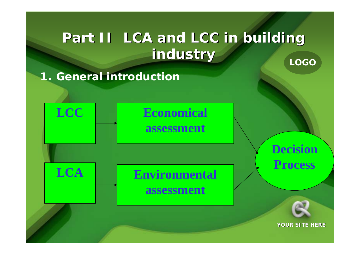### **LOGO Part II LCA and LCC in building Part II LCA and LCC in building industry industry**

**1. General introduction**

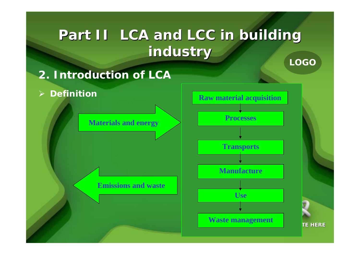### **LOGO Part II LCA and LCC in building Part II LCA and LCC in building industry industry**



 $\sum_{i=1}^{n}$ 

**Materials and energy**

**Emissions and waste**



**TE HERE**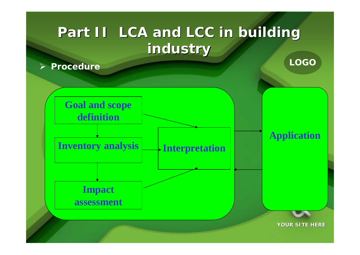# **Part II LCA and LCC in building Part II LCA and LCC in building industry industry**

**Procedure**



**YOUR SITE HERE**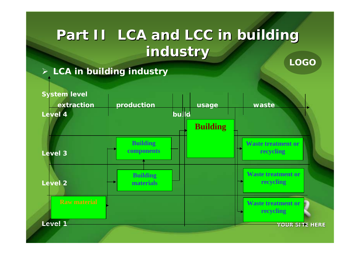### **LOGO Part II LCA and LCC in building Part II LCA and LCC in building industry industry**

**LCA in building industry**

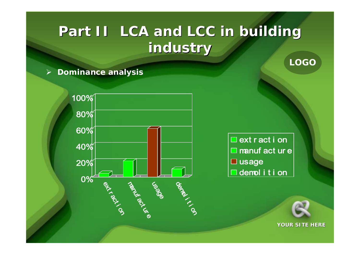# **Part II LCA and LCC in building Part II LCA and LCC in building industry industry**

#### $\blacktriangleright$ **Dominance analysis**

0% 20% 40% 60% 80% 100% **ext** r act  $\mathcal{S}$ Library act ي<br>ھ usage demok i t  $\mathcal{S}$ 

□ ext r act i on  $\Box$  manuf act ur e □ usage  $\Box$  demol i t i on



**LOGO**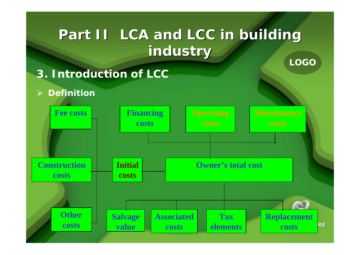### **LOGO Part II LCA and LCC in building Part II LCA and LCC in building industry industry**

- **3. Introduction of LCC**
- $\triangleright$ **Definition**

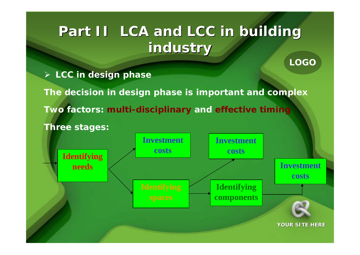# **Part II LCA and LCC in building Part II LCA and LCC in building industry industry**

- **LCC in design phase**
- **The decision in design phase is important and complex Two factors: multi-disciplinary and effective timing Three stages:**

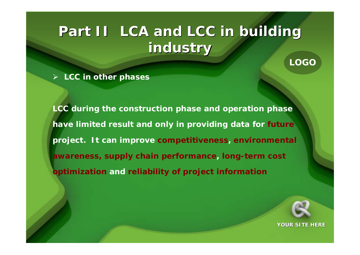# **Part II LCA and LCC in building Part II LCA and LCC in building industry industry**

**LCC in other phases**

**LCC during the construction phase and operation phase have limited result and only in providing data for future project. It can improve competitiveness, environmental awareness, supply chain performance, long-term cost optimization and reliability of project information**



**LOGO**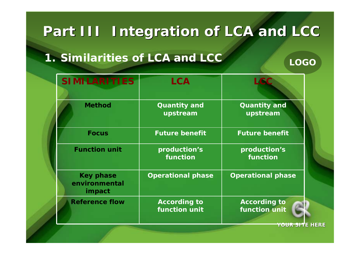### **1. Similarities of LCA and LCC**

#### **SIMILARITIES LCA LCC** *Method* **Quantity and upstream Quantity and upstream** *Focus* **Future benefit Future benefit** *Function unit* **production's functionproduction's function***Key phase environmental impact* **Operational phase Operational phase** *Reference flow* **According to function unit According to function unit**

**YOUR SITE HERE**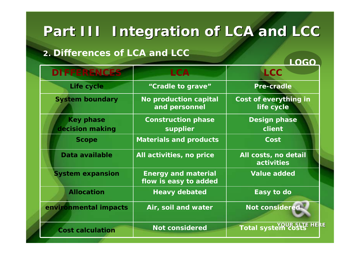#### **2. Differences of LCA and LCC**

| <b>DIFFERENCES</b>                  | <b>LCA</b>                                          | <b>LCC</b>                                  |
|-------------------------------------|-----------------------------------------------------|---------------------------------------------|
| Life cycle                          | "Cradle to grave"                                   | <b>Pre-cradle</b>                           |
| <b>System boundary</b>              | No production capital<br>and personnel              | Cost of everything in<br>life cycle         |
| <b>Key phase</b><br>decision making | <b>Construction phase</b><br>supplier               | <b>Design phase</b><br>client               |
| <b>Scope</b>                        | <b>Materials and products</b>                       | Cost                                        |
| Data available                      | All activities, no price                            | All costs, no detail<br>activities          |
| <b>System expansion</b>             | <b>Energy and material</b><br>flow is easy to added | <b>Value added</b>                          |
| <b>Allocation</b>                   | <b>Heavy debated</b>                                | Easy to do                                  |
| environmental impacts               | Air, soil and water                                 | Not considered                              |
| <b>Cost calculation</b>             | <b>Not considered</b>                               | <b>QUR SLTE HERE</b><br><b>Total syster</b> |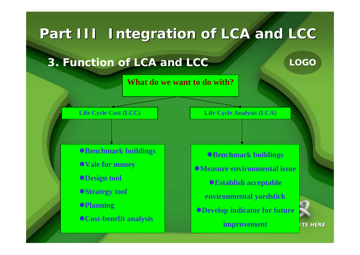**3. Function of LCA and LCC**

**What do we want to do with?**

**Life Cycle Cost (LCC) Life Cycle Analysis (LCA)**

**Benchmark buildings Vale for money Design tool Strategy tool Planning Cost-benefit analysis**

**Benchmark buildings Measure environmental issueEstablish acceptable environmental yardstick Develop indicator for future improvement**

**TE HERE**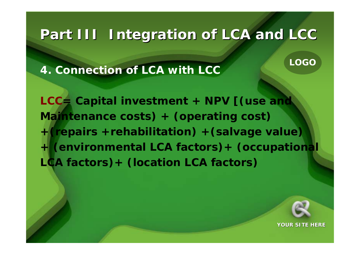**4. Connection of LCA with LCC**

**LCC= Capital investment + NPV [(use and Maintenance costs) + (operating cost) +(repairs +rehabilitation) +(salvage value) + (environmental LCA factors)+ (occupational LCA factors)+ (location LCA factors)**



**LOGO**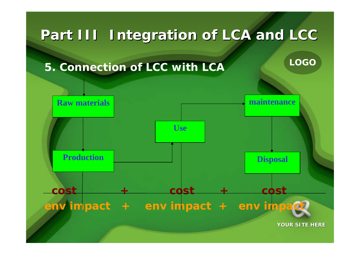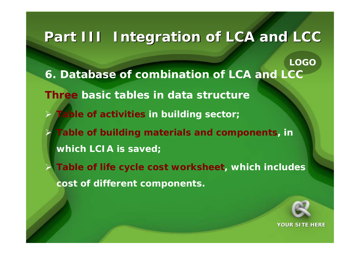**LOGO 6. Database of combination of LCA and LCC Three basic tables in data structure** $\blacktriangleright$  **Table of activities in building sector;**  $\blacktriangleright$  **Table of building materials and components, in which LCIA is saved;**  $\blacktriangleright$  **Table of life cycle cost worksheet, which includes cost of different components.** 

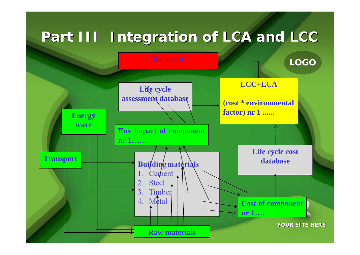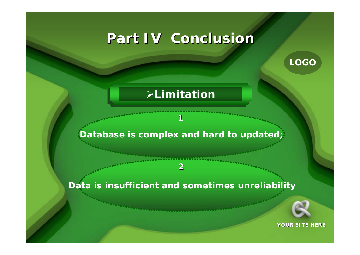## **Part IV Conclusion Part IV Conclusion**

**LOGO**

#### **Limitation**

#### **Database is complex and hard to updated;**

**1**

#### **Data is insufficient and sometimes unreliabilit y**

**2**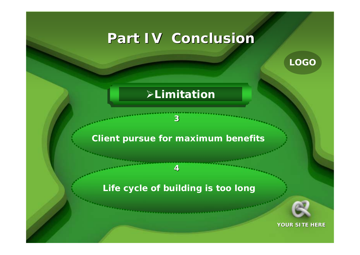## **Part IV Conclusion Part IV Conclusion**

**LOGO**

### **Limitation**

#### **Client pursue for maximum benefits**

**3**

#### **Life cycle of building is too long**

**4**

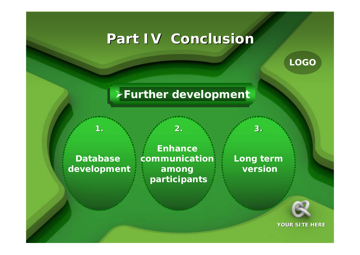## **Part IV Conclusion Part IV Conclusion**

**LOGO**

### **Further development**

**Database development**

**1.**

**Enhance communication among participants**

**2.**

**Long term version**

**3.**